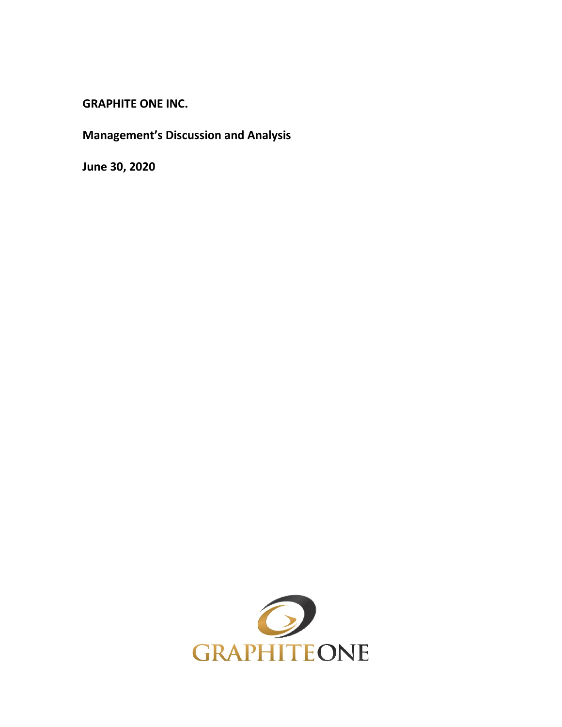**GRAPHITE ONE INC.**

**Management's Discussion and Analysis**

**June 30, 2020**

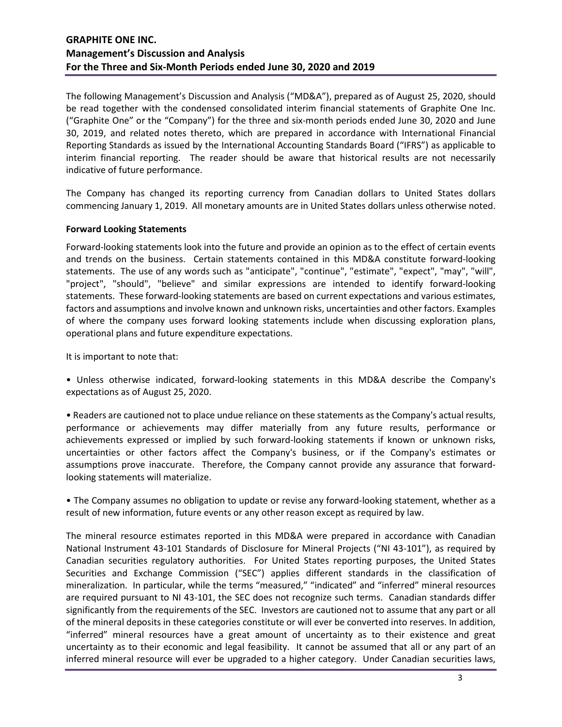The following Management's Discussion and Analysis ("MD&A"), prepared as of August 25, 2020, should be read together with the condensed consolidated interim financial statements of Graphite One Inc. ("Graphite One" or the "Company") for the three and six-month periods ended June 30, 2020 and June 30, 2019, and related notes thereto, which are prepared in accordance with International Financial Reporting Standards as issued by the International Accounting Standards Board ("IFRS") as applicable to interim financial reporting. The reader should be aware that historical results are not necessarily indicative of future performance.

The Company has changed its reporting currency from Canadian dollars to United States dollars commencing January 1, 2019. All monetary amounts are in United States dollars unless otherwise noted.

### **Forward Looking Statements**

Forward-looking statements look into the future and provide an opinion as to the effect of certain events and trends on the business. Certain statements contained in this MD&A constitute forward-looking statements. The use of any words such as "anticipate", "continue", "estimate", "expect", "may", "will", "project", "should", "believe" and similar expressions are intended to identify forward-looking statements. These forward-looking statements are based on current expectations and various estimates, factors and assumptions and involve known and unknown risks, uncertainties and other factors. Examples of where the company uses forward looking statements include when discussing exploration plans, operational plans and future expenditure expectations.

It is important to note that:

• Unless otherwise indicated, forward-looking statements in this MD&A describe the Company's expectations as of August 25, 2020.

• Readers are cautioned not to place undue reliance on these statements as the Company's actual results, performance or achievements may differ materially from any future results, performance or achievements expressed or implied by such forward-looking statements if known or unknown risks, uncertainties or other factors affect the Company's business, or if the Company's estimates or assumptions prove inaccurate. Therefore, the Company cannot provide any assurance that forwardlooking statements will materialize.

• The Company assumes no obligation to update or revise any forward-looking statement, whether as a result of new information, future events or any other reason except as required by law.

The mineral resource estimates reported in this MD&A were prepared in accordance with Canadian National Instrument 43-101 Standards of Disclosure for Mineral Projects ("NI 43-101"), as required by Canadian securities regulatory authorities. For United States reporting purposes, the United States Securities and Exchange Commission ("SEC") applies different standards in the classification of mineralization. In particular, while the terms "measured," "indicated" and "inferred" mineral resources are required pursuant to NI 43-101, the SEC does not recognize such terms. Canadian standards differ significantly from the requirements of the SEC. Investors are cautioned not to assume that any part or all of the mineral deposits in these categories constitute or will ever be converted into reserves. In addition, "inferred" mineral resources have a great amount of uncertainty as to their existence and great uncertainty as to their economic and legal feasibility. It cannot be assumed that all or any part of an inferred mineral resource will ever be upgraded to a higher category. Under Canadian securities laws,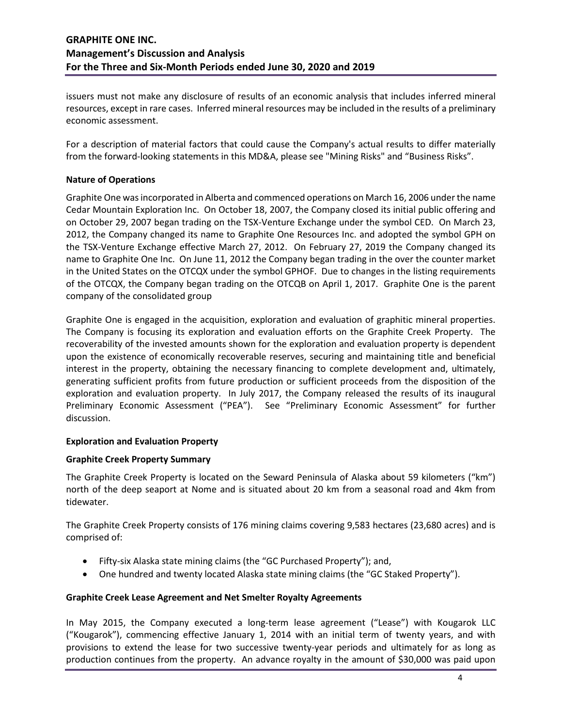issuers must not make any disclosure of results of an economic analysis that includes inferred mineral resources, except in rare cases. Inferred mineral resources may be included in the results of a preliminary economic assessment.

For a description of material factors that could cause the Company's actual results to differ materially from the forward-looking statements in this MD&A, please see "Mining Risks" and "Business Risks".

### **Nature of Operations**

Graphite One was incorporated in Alberta and commenced operations on March 16, 2006 under the name Cedar Mountain Exploration Inc. On October 18, 2007, the Company closed its initial public offering and on October 29, 2007 began trading on the TSX-Venture Exchange under the symbol CED. On March 23, 2012, the Company changed its name to Graphite One Resources Inc. and adopted the symbol GPH on the TSX-Venture Exchange effective March 27, 2012. On February 27, 2019 the Company changed its name to Graphite One Inc. On June 11, 2012 the Company began trading in the over the counter market in the United States on the OTCQX under the symbol GPHOF. Due to changes in the listing requirements of the OTCQX, the Company began trading on the OTCQB on April 1, 2017. Graphite One is the parent company of the consolidated group

Graphite One is engaged in the acquisition, exploration and evaluation of graphitic mineral properties. The Company is focusing its exploration and evaluation efforts on the Graphite Creek Property. The recoverability of the invested amounts shown for the exploration and evaluation property is dependent upon the existence of economically recoverable reserves, securing and maintaining title and beneficial interest in the property, obtaining the necessary financing to complete development and, ultimately, generating sufficient profits from future production or sufficient proceeds from the disposition of the exploration and evaluation property. In July 2017, the Company released the results of its inaugural Preliminary Economic Assessment ("PEA"). See "Preliminary Economic Assessment" for further discussion.

### **Exploration and Evaluation Property**

### **Graphite Creek Property Summary**

The Graphite Creek Property is located on the Seward Peninsula of Alaska about 59 kilometers ("km") north of the deep seaport at Nome and is situated about 20 km from a seasonal road and 4km from tidewater.

The Graphite Creek Property consists of 176 mining claims covering 9,583 hectares (23,680 acres) and is comprised of:

- Fifty-six Alaska state mining claims (the "GC Purchased Property"); and,
- One hundred and twenty located Alaska state mining claims (the "GC Staked Property").

### **Graphite Creek Lease Agreement and Net Smelter Royalty Agreements**

In May 2015, the Company executed a long-term lease agreement ("Lease") with Kougarok LLC ("Kougarok"), commencing effective January 1, 2014 with an initial term of twenty years, and with provisions to extend the lease for two successive twenty-year periods and ultimately for as long as production continues from the property. An advance royalty in the amount of \$30,000 was paid upon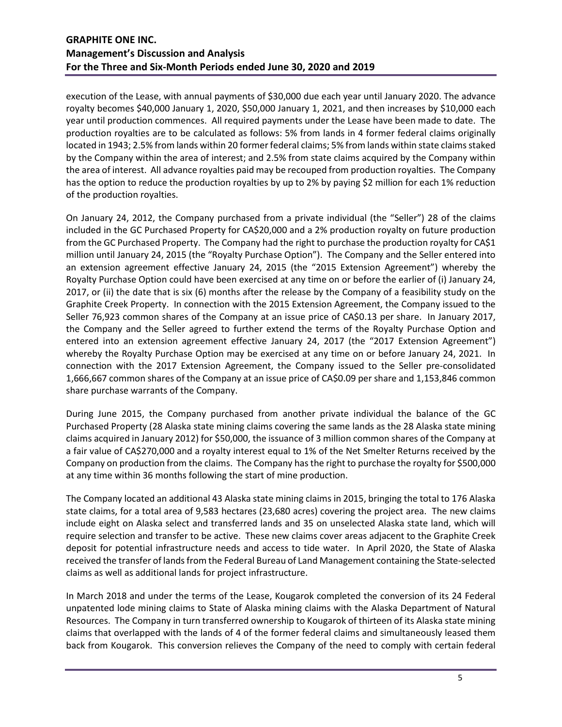execution of the Lease, with annual payments of \$30,000 due each year until January 2020. The advance royalty becomes \$40,000 January 1, 2020, \$50,000 January 1, 2021, and then increases by \$10,000 each year until production commences. All required payments under the Lease have been made to date. The production royalties are to be calculated as follows: 5% from lands in 4 former federal claims originally located in 1943; 2.5% from lands within 20 former federal claims; 5% from lands within state claims staked by the Company within the area of interest; and 2.5% from state claims acquired by the Company within the area of interest. All advance royalties paid may be recouped from production royalties. The Company has the option to reduce the production royalties by up to 2% by paying \$2 million for each 1% reduction of the production royalties.

On January 24, 2012, the Company purchased from a private individual (the "Seller") 28 of the claims included in the GC Purchased Property for CA\$20,000 and a 2% production royalty on future production from the GC Purchased Property. The Company had the right to purchase the production royalty for CA\$1 million until January 24, 2015 (the "Royalty Purchase Option"). The Company and the Seller entered into an extension agreement effective January 24, 2015 (the "2015 Extension Agreement") whereby the Royalty Purchase Option could have been exercised at any time on or before the earlier of (i) January 24, 2017, or (ii) the date that is six (6) months after the release by the Company of a feasibility study on the Graphite Creek Property. In connection with the 2015 Extension Agreement, the Company issued to the Seller 76,923 common shares of the Company at an issue price of CA\$0.13 per share. In January 2017, the Company and the Seller agreed to further extend the terms of the Royalty Purchase Option and entered into an extension agreement effective January 24, 2017 (the "2017 Extension Agreement") whereby the Royalty Purchase Option may be exercised at any time on or before January 24, 2021. In connection with the 2017 Extension Agreement, the Company issued to the Seller pre-consolidated 1,666,667 common shares of the Company at an issue price of CA\$0.09 per share and 1,153,846 common share purchase warrants of the Company.

During June 2015, the Company purchased from another private individual the balance of the GC Purchased Property (28 Alaska state mining claims covering the same lands as the 28 Alaska state mining claims acquired in January 2012) for \$50,000, the issuance of 3 million common shares of the Company at a fair value of CA\$270,000 and a royalty interest equal to 1% of the Net Smelter Returns received by the Company on production from the claims. The Company has the right to purchase the royalty for \$500,000 at any time within 36 months following the start of mine production.

The Company located an additional 43 Alaska state mining claims in 2015, bringing the total to 176 Alaska state claims, for a total area of 9,583 hectares (23,680 acres) covering the project area. The new claims include eight on Alaska select and transferred lands and 35 on unselected Alaska state land, which will require selection and transfer to be active. These new claims cover areas adjacent to the Graphite Creek deposit for potential infrastructure needs and access to tide water. In April 2020, the State of Alaska received the transfer of lands from the Federal Bureau of Land Management containing the State-selected claims as well as additional lands for project infrastructure.

In March 2018 and under the terms of the Lease, Kougarok completed the conversion of its 24 Federal unpatented lode mining claims to State of Alaska mining claims with the Alaska Department of Natural Resources. The Company in turn transferred ownership to Kougarok of thirteen of its Alaska state mining claims that overlapped with the lands of 4 of the former federal claims and simultaneously leased them back from Kougarok. This conversion relieves the Company of the need to comply with certain federal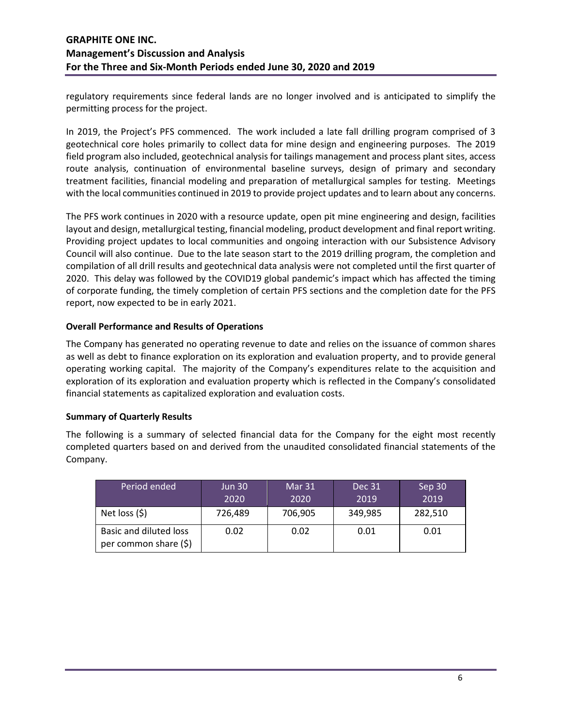regulatory requirements since federal lands are no longer involved and is anticipated to simplify the permitting process for the project.

In 2019, the Project's PFS commenced. The work included a late fall drilling program comprised of 3 geotechnical core holes primarily to collect data for mine design and engineering purposes. The 2019 field program also included, geotechnical analysis for tailings management and process plant sites, access route analysis, continuation of environmental baseline surveys, design of primary and secondary treatment facilities, financial modeling and preparation of metallurgical samples for testing. Meetings with the local communities continued in 2019 to provide project updates and to learn about any concerns.

The PFS work continues in 2020 with a resource update, open pit mine engineering and design, facilities layout and design, metallurgical testing, financial modeling, product development and final report writing. Providing project updates to local communities and ongoing interaction with our Subsistence Advisory Council will also continue. Due to the late season start to the 2019 drilling program, the completion and compilation of all drill results and geotechnical data analysis were not completed until the first quarter of 2020. This delay was followed by the COVID19 global pandemic's impact which has affected the timing of corporate funding, the timely completion of certain PFS sections and the completion date for the PFS report, now expected to be in early 2021.

### **Overall Performance and Results of Operations**

The Company has generated no operating revenue to date and relies on the issuance of common shares as well as debt to finance exploration on its exploration and evaluation property, and to provide general operating working capital. The majority of the Company's expenditures relate to the acquisition and exploration of its exploration and evaluation property which is reflected in the Company's consolidated financial statements as capitalized exploration and evaluation costs.

### **Summary of Quarterly Results**

The following is a summary of selected financial data for the Company for the eight most recently completed quarters based on and derived from the unaudited consolidated financial statements of the Company.

| Period ended                                    | <b>Jun 30</b><br>2020 | Mar 31<br>2020 | <b>Dec 31</b><br>2019 | Sep 30<br>2019 |
|-------------------------------------------------|-----------------------|----------------|-----------------------|----------------|
| Net loss $(5)$                                  | 726,489               | 706,905        | 349,985               | 282,510        |
| Basic and diluted loss<br>per common share (\$) | 0.02                  | 0.02           | 0.01                  | 0.01           |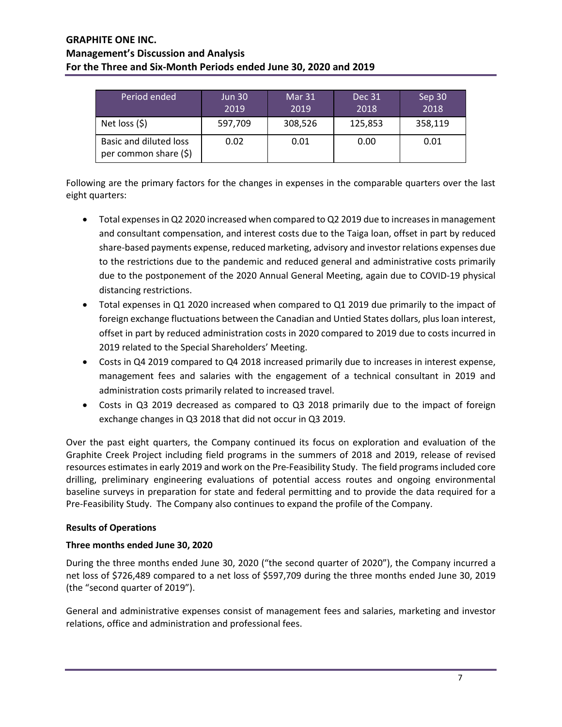| Period ended                                    | <b>Jun 30</b><br>2019 | Mar 31<br>2019 | Dec 31<br>2018 | Sep 30<br>2018 |
|-------------------------------------------------|-----------------------|----------------|----------------|----------------|
| Net loss $(5)$                                  | 597,709               | 308,526        | 125,853        | 358,119        |
| Basic and diluted loss<br>per common share (\$) | 0.02                  | 0.01           | 0.00           | 0.01           |

Following are the primary factors for the changes in expenses in the comparable quarters over the last eight quarters:

- Total expenses in Q2 2020 increased when compared to Q2 2019 due to increases in management and consultant compensation, and interest costs due to the Taiga loan, offset in part by reduced share-based payments expense, reduced marketing, advisory and investor relations expenses due to the restrictions due to the pandemic and reduced general and administrative costs primarily due to the postponement of the 2020 Annual General Meeting, again due to COVID-19 physical distancing restrictions.
- Total expenses in Q1 2020 increased when compared to Q1 2019 due primarily to the impact of foreign exchange fluctuations between the Canadian and Untied States dollars, plus loan interest, offset in part by reduced administration costs in 2020 compared to 2019 due to costs incurred in 2019 related to the Special Shareholders' Meeting.
- Costs in Q4 2019 compared to Q4 2018 increased primarily due to increases in interest expense, management fees and salaries with the engagement of a technical consultant in 2019 and administration costs primarily related to increased travel.
- Costs in Q3 2019 decreased as compared to Q3 2018 primarily due to the impact of foreign exchange changes in Q3 2018 that did not occur in Q3 2019.

Over the past eight quarters, the Company continued its focus on exploration and evaluation of the Graphite Creek Project including field programs in the summers of 2018 and 2019, release of revised resources estimates in early 2019 and work on the Pre-Feasibility Study. The field programs included core drilling, preliminary engineering evaluations of potential access routes and ongoing environmental baseline surveys in preparation for state and federal permitting and to provide the data required for a Pre-Feasibility Study. The Company also continues to expand the profile of the Company.

## **Results of Operations**

# **Three months ended June 30, 2020**

During the three months ended June 30, 2020 ("the second quarter of 2020"), the Company incurred a net loss of \$726,489 compared to a net loss of \$597,709 during the three months ended June 30, 2019 (the "second quarter of 2019").

General and administrative expenses consist of management fees and salaries, marketing and investor relations, office and administration and professional fees.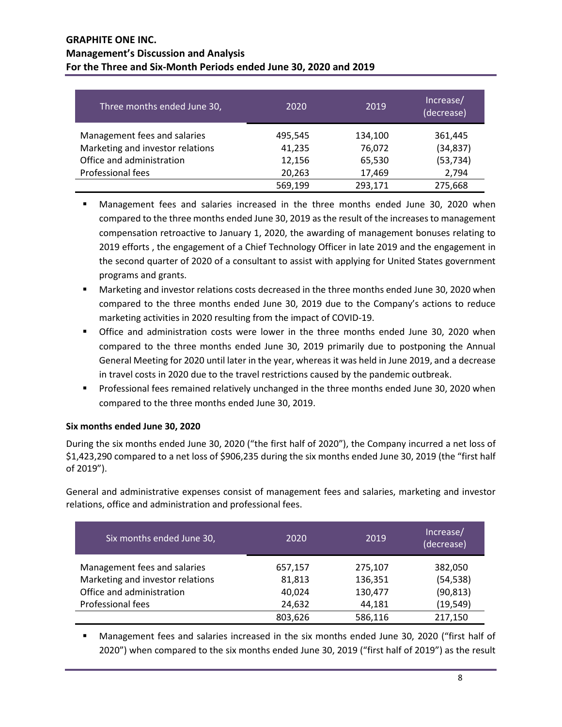| Three months ended June 30,      | 2020    | 2019    | Increase/<br>(decrease) |
|----------------------------------|---------|---------|-------------------------|
| Management fees and salaries     | 495,545 | 134,100 | 361,445                 |
| Marketing and investor relations | 41,235  | 76,072  | (34, 837)               |
| Office and administration        | 12,156  | 65,530  | (53, 734)               |
| Professional fees                | 20,263  | 17,469  | 2,794                   |
|                                  | 569,199 | 293,171 | 275,668                 |

- Management fees and salaries increased in the three months ended June 30, 2020 when compared to the three months ended June 30, 2019 as the result of the increases to management compensation retroactive to January 1, 2020, the awarding of management bonuses relating to 2019 efforts , the engagement of a Chief Technology Officer in late 2019 and the engagement in the second quarter of 2020 of a consultant to assist with applying for United States government programs and grants.
- Marketing and investor relations costs decreased in the three months ended June 30, 2020 when compared to the three months ended June 30, 2019 due to the Company's actions to reduce marketing activities in 2020 resulting from the impact of COVID-19.
- Office and administration costs were lower in the three months ended June 30, 2020 when compared to the three months ended June 30, 2019 primarily due to postponing the Annual General Meeting for 2020 until later in the year, whereas it was held in June 2019, and a decrease in travel costs in 2020 due to the travel restrictions caused by the pandemic outbreak.
- **Professional fees remained relatively unchanged in the three months ended June 30, 2020 when** compared to the three months ended June 30, 2019.

# **Six months ended June 30, 2020**

During the six months ended June 30, 2020 ("the first half of 2020"), the Company incurred a net loss of \$1,423,290 compared to a net loss of \$906,235 during the six months ended June 30, 2019 (the "first half of 2019").

General and administrative expenses consist of management fees and salaries, marketing and investor relations, office and administration and professional fees.

| Six months ended June 30,        | 2020    | 2019    | Increase/<br>(decrease) |
|----------------------------------|---------|---------|-------------------------|
| Management fees and salaries     | 657,157 | 275,107 | 382,050                 |
| Marketing and investor relations | 81,813  | 136,351 | (54, 538)               |
| Office and administration        | 40,024  | 130,477 | (90, 813)               |
| Professional fees                | 24,632  | 44,181  | (19, 549)               |
|                                  | 803,626 | 586,116 | 217,150                 |

 Management fees and salaries increased in the six months ended June 30, 2020 ("first half of 2020") when compared to the six months ended June 30, 2019 ("first half of 2019") as the result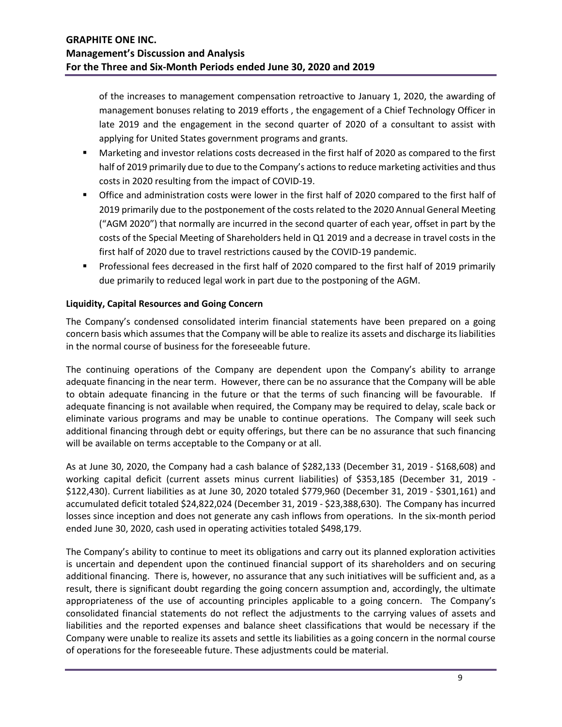of the increases to management compensation retroactive to January 1, 2020, the awarding of management bonuses relating to 2019 efforts , the engagement of a Chief Technology Officer in late 2019 and the engagement in the second quarter of 2020 of a consultant to assist with applying for United States government programs and grants.

- Marketing and investor relations costs decreased in the first half of 2020 as compared to the first half of 2019 primarily due to due to the Company's actions to reduce marketing activities and thus costs in 2020 resulting from the impact of COVID-19.
- Office and administration costs were lower in the first half of 2020 compared to the first half of 2019 primarily due to the postponement of the costs related to the 2020 Annual General Meeting ("AGM 2020") that normally are incurred in the second quarter of each year, offset in part by the costs of the Special Meeting of Shareholders held in Q1 2019 and a decrease in travel costs in the first half of 2020 due to travel restrictions caused by the COVID-19 pandemic.
- Professional fees decreased in the first half of 2020 compared to the first half of 2019 primarily due primarily to reduced legal work in part due to the postponing of the AGM.

## **Liquidity, Capital Resources and Going Concern**

The Company's condensed consolidated interim financial statements have been prepared on a going concern basis which assumes that the Company will be able to realize its assets and discharge its liabilities in the normal course of business for the foreseeable future.

The continuing operations of the Company are dependent upon the Company's ability to arrange adequate financing in the near term. However, there can be no assurance that the Company will be able to obtain adequate financing in the future or that the terms of such financing will be favourable. If adequate financing is not available when required, the Company may be required to delay, scale back or eliminate various programs and may be unable to continue operations. The Company will seek such additional financing through debt or equity offerings, but there can be no assurance that such financing will be available on terms acceptable to the Company or at all.

As at June 30, 2020, the Company had a cash balance of \$282,133 (December 31, 2019 - \$168,608) and working capital deficit (current assets minus current liabilities) of \$353,185 (December 31, 2019 - \$122,430). Current liabilities as at June 30, 2020 totaled \$779,960 (December 31, 2019 - \$301,161) and accumulated deficit totaled \$24,822,024 (December 31, 2019 - \$23,388,630). The Company has incurred losses since inception and does not generate any cash inflows from operations. In the six-month period ended June 30, 2020, cash used in operating activities totaled \$498,179.

The Company's ability to continue to meet its obligations and carry out its planned exploration activities is uncertain and dependent upon the continued financial support of its shareholders and on securing additional financing. There is, however, no assurance that any such initiatives will be sufficient and, as a result, there is significant doubt regarding the going concern assumption and, accordingly, the ultimate appropriateness of the use of accounting principles applicable to a going concern. The Company's consolidated financial statements do not reflect the adjustments to the carrying values of assets and liabilities and the reported expenses and balance sheet classifications that would be necessary if the Company were unable to realize its assets and settle its liabilities as a going concern in the normal course of operations for the foreseeable future. These adjustments could be material.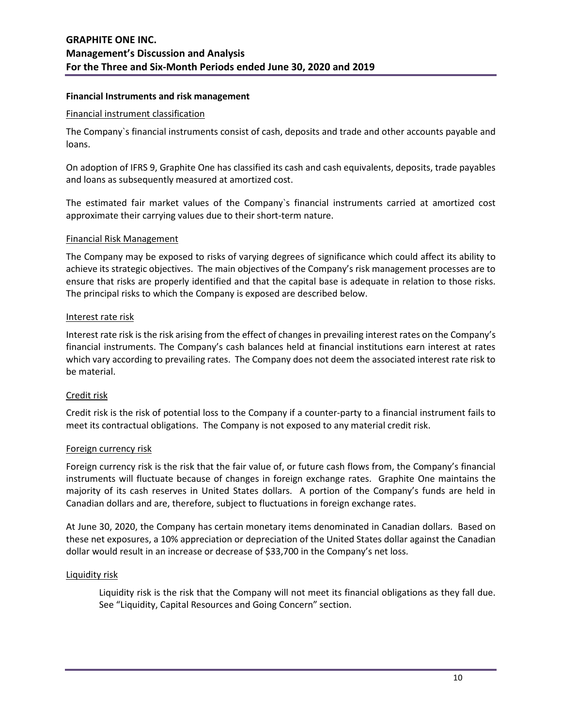### **Financial Instruments and risk management**

#### Financial instrument classification

The Company`s financial instruments consist of cash, deposits and trade and other accounts payable and loans.

On adoption of IFRS 9, Graphite One has classified its cash and cash equivalents, deposits, trade payables and loans as subsequently measured at amortized cost.

The estimated fair market values of the Company`s financial instruments carried at amortized cost approximate their carrying values due to their short-term nature.

#### Financial Risk Management

The Company may be exposed to risks of varying degrees of significance which could affect its ability to achieve its strategic objectives. The main objectives of the Company's risk management processes are to ensure that risks are properly identified and that the capital base is adequate in relation to those risks. The principal risks to which the Company is exposed are described below.

#### Interest rate risk

Interest rate risk is the risk arising from the effect of changes in prevailing interest rates on the Company's financial instruments. The Company's cash balances held at financial institutions earn interest at rates which vary according to prevailing rates. The Company does not deem the associated interest rate risk to be material.

### Credit risk

Credit risk is the risk of potential loss to the Company if a counter-party to a financial instrument fails to meet its contractual obligations. The Company is not exposed to any material credit risk.

### Foreign currency risk

Foreign currency risk is the risk that the fair value of, or future cash flows from, the Company's financial instruments will fluctuate because of changes in foreign exchange rates. Graphite One maintains the majority of its cash reserves in United States dollars. A portion of the Company's funds are held in Canadian dollars and are, therefore, subject to fluctuations in foreign exchange rates.

At June 30, 2020, the Company has certain monetary items denominated in Canadian dollars. Based on these net exposures, a 10% appreciation or depreciation of the United States dollar against the Canadian dollar would result in an increase or decrease of \$33,700 in the Company's net loss.

#### Liquidity risk

Liquidity risk is the risk that the Company will not meet its financial obligations as they fall due. See "Liquidity, Capital Resources and Going Concern" section.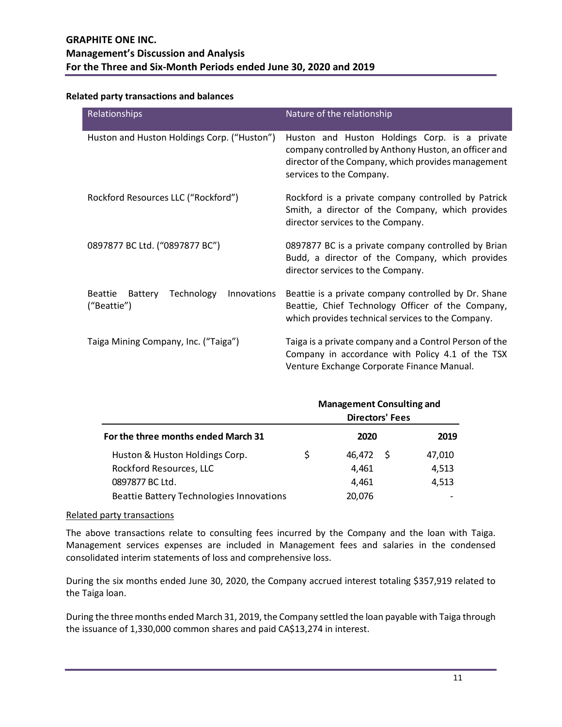### **Related party transactions and balances**

| Relationships                                                         | Nature of the relationship                                                                                                                                                              |
|-----------------------------------------------------------------------|-----------------------------------------------------------------------------------------------------------------------------------------------------------------------------------------|
| Huston and Huston Holdings Corp. ("Huston")                           | Huston and Huston Holdings Corp. is a private<br>company controlled by Anthony Huston, an officer and<br>director of the Company, which provides management<br>services to the Company. |
| Rockford Resources LLC ("Rockford")                                   | Rockford is a private company controlled by Patrick<br>Smith, a director of the Company, which provides<br>director services to the Company.                                            |
| 0897877 BC Ltd. ("0897877 BC")                                        | 0897877 BC is a private company controlled by Brian<br>Budd, a director of the Company, which provides<br>director services to the Company.                                             |
| Technology<br><b>Beattie</b><br>Battery<br>Innovations<br>("Beattie") | Beattie is a private company controlled by Dr. Shane<br>Beattie, Chief Technology Officer of the Company,<br>which provides technical services to the Company.                          |
| Taiga Mining Company, Inc. ("Taiga")                                  | Taiga is a private company and a Control Person of the<br>Company in accordance with Policy 4.1 of the TSX<br>Venture Exchange Corporate Finance Manual.                                |

|                                                 |   | <b>Management Consulting and</b><br><b>Directors' Fees</b> |     |        |
|-------------------------------------------------|---|------------------------------------------------------------|-----|--------|
| For the three months ended March 31             |   | 2020                                                       |     | 2019   |
| Huston & Huston Holdings Corp.                  | S | 46.472                                                     | - S | 47,010 |
| Rockford Resources, LLC                         |   | 4,461                                                      |     | 4,513  |
| 0897877 BC Ltd.                                 |   | 4,461                                                      |     | 4,513  |
| <b>Beattie Battery Technologies Innovations</b> |   | 20,076                                                     |     |        |

### Related party transactions

The above transactions relate to consulting fees incurred by the Company and the loan with Taiga. Management services expenses are included in Management fees and salaries in the condensed consolidated interim statements of loss and comprehensive loss.

During the six months ended June 30, 2020, the Company accrued interest totaling \$357,919 related to the Taiga loan.

During the three months ended March 31, 2019, the Company settled the loan payable with Taiga through the issuance of 1,330,000 common shares and paid CA\$13,274 in interest.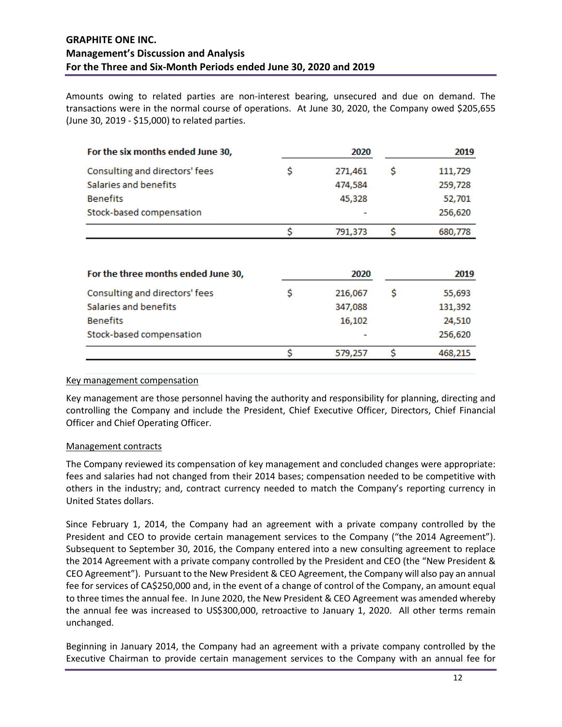Amounts owing to related parties are non-interest bearing, unsecured and due on demand. The transactions were in the normal course of operations. At June 30, 2020, the Company owed \$205,655 (June 30, 2019 - \$15,000) to related parties.

| For the six months ended June 30,   | 2020          | 2019          |
|-------------------------------------|---------------|---------------|
| Consulting and directors' fees      | \$<br>271,461 | \$<br>111,729 |
| Salaries and benefits               | 474,584       | 259,728       |
| <b>Benefits</b>                     | 45,328        | 52,701        |
| Stock-based compensation            |               | 256,620       |
|                                     | \$<br>791,373 | \$<br>680,778 |
| For the three months ended June 30, | 2020          | 2019          |
| Consulting and directors' fees      | \$<br>216,067 | \$<br>55,693  |
| Salaries and benefits               | 347,088       | 131,392       |
| <b>Benefits</b>                     | 16,102        | 24,510        |
| Stock-based compensation            |               | 256,620       |
|                                     | \$<br>579,257 | \$<br>468,215 |

#### Key management compensation

Key management are those personnel having the authority and responsibility for planning, directing and controlling the Company and include the President, Chief Executive Officer, Directors, Chief Financial Officer and Chief Operating Officer.

### Management contracts

The Company reviewed its compensation of key management and concluded changes were appropriate: fees and salaries had not changed from their 2014 bases; compensation needed to be competitive with others in the industry; and, contract currency needed to match the Company's reporting currency in United States dollars.

Since February 1, 2014, the Company had an agreement with a private company controlled by the President and CEO to provide certain management services to the Company ("the 2014 Agreement"). Subsequent to September 30, 2016, the Company entered into a new consulting agreement to replace the 2014 Agreement with a private company controlled by the President and CEO (the "New President & CEO Agreement"). Pursuant to the New President & CEO Agreement, the Company will also pay an annual fee for services of CA\$250,000 and, in the event of a change of control of the Company, an amount equal to three times the annual fee. In June 2020, the New President & CEO Agreement was amended whereby the annual fee was increased to US\$300,000, retroactive to January 1, 2020. All other terms remain unchanged.

Beginning in January 2014, the Company had an agreement with a private company controlled by the Executive Chairman to provide certain management services to the Company with an annual fee for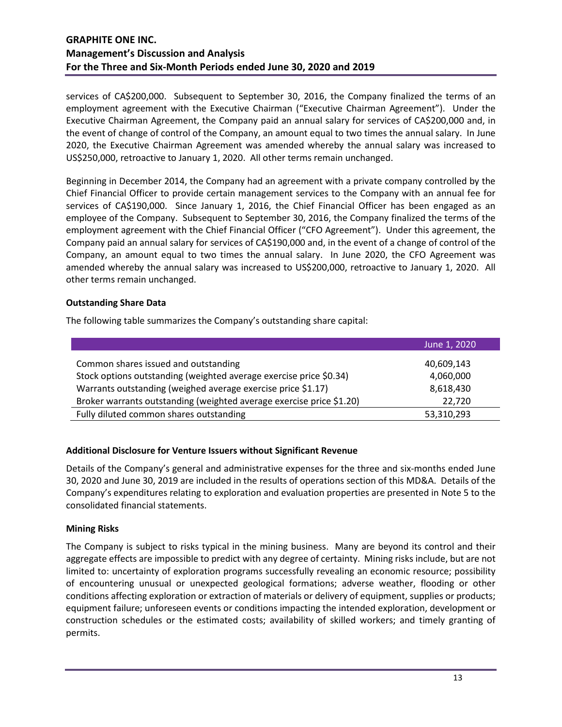services of CA\$200,000. Subsequent to September 30, 2016, the Company finalized the terms of an employment agreement with the Executive Chairman ("Executive Chairman Agreement"). Under the Executive Chairman Agreement, the Company paid an annual salary for services of CA\$200,000 and, in the event of change of control of the Company, an amount equal to two times the annual salary. In June 2020, the Executive Chairman Agreement was amended whereby the annual salary was increased to US\$250,000, retroactive to January 1, 2020. All other terms remain unchanged.

Beginning in December 2014, the Company had an agreement with a private company controlled by the Chief Financial Officer to provide certain management services to the Company with an annual fee for services of CA\$190,000. Since January 1, 2016, the Chief Financial Officer has been engaged as an employee of the Company. Subsequent to September 30, 2016, the Company finalized the terms of the employment agreement with the Chief Financial Officer ("CFO Agreement"). Under this agreement, the Company paid an annual salary for services of CA\$190,000 and, in the event of a change of control of the Company, an amount equal to two times the annual salary. In June 2020, the CFO Agreement was amended whereby the annual salary was increased to US\$200,000, retroactive to January 1, 2020. All other terms remain unchanged.

## **Outstanding Share Data**

The following table summarizes the Company's outstanding share capital:

|                                                                      | June 1, 2020 |
|----------------------------------------------------------------------|--------------|
| Common shares issued and outstanding                                 | 40,609,143   |
| Stock options outstanding (weighted average exercise price \$0.34)   | 4,060,000    |
| Warrants outstanding (weighed average exercise price \$1.17)         | 8,618,430    |
| Broker warrants outstanding (weighted average exercise price \$1.20) | 22.720       |
| Fully diluted common shares outstanding                              | 53,310,293   |

### **Additional Disclosure for Venture Issuers without Significant Revenue**

Details of the Company's general and administrative expenses for the three and six-months ended June 30, 2020 and June 30, 2019 are included in the results of operations section of this MD&A. Details of the Company's expenditures relating to exploration and evaluation properties are presented in Note 5 to the consolidated financial statements.

### **Mining Risks**

The Company is subject to risks typical in the mining business. Many are beyond its control and their aggregate effects are impossible to predict with any degree of certainty. Mining risks include, but are not limited to: uncertainty of exploration programs successfully revealing an economic resource; possibility of encountering unusual or unexpected geological formations; adverse weather, flooding or other conditions affecting exploration or extraction of materials or delivery of equipment, supplies or products; equipment failure; unforeseen events or conditions impacting the intended exploration, development or construction schedules or the estimated costs; availability of skilled workers; and timely granting of permits.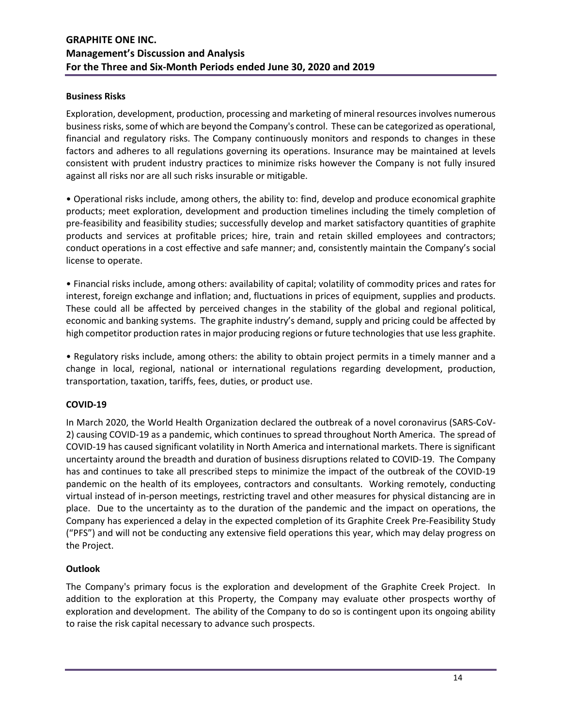### **Business Risks**

Exploration, development, production, processing and marketing of mineral resources involves numerous business risks, some of which are beyond the Company's control. These can be categorized as operational, financial and regulatory risks. The Company continuously monitors and responds to changes in these factors and adheres to all regulations governing its operations. Insurance may be maintained at levels consistent with prudent industry practices to minimize risks however the Company is not fully insured against all risks nor are all such risks insurable or mitigable.

• Operational risks include, among others, the ability to: find, develop and produce economical graphite products; meet exploration, development and production timelines including the timely completion of pre-feasibility and feasibility studies; successfully develop and market satisfactory quantities of graphite products and services at profitable prices; hire, train and retain skilled employees and contractors; conduct operations in a cost effective and safe manner; and, consistently maintain the Company's social license to operate.

• Financial risks include, among others: availability of capital; volatility of commodity prices and rates for interest, foreign exchange and inflation; and, fluctuations in prices of equipment, supplies and products. These could all be affected by perceived changes in the stability of the global and regional political, economic and banking systems. The graphite industry's demand, supply and pricing could be affected by high competitor production rates in major producing regions or future technologies that use less graphite.

• Regulatory risks include, among others: the ability to obtain project permits in a timely manner and a change in local, regional, national or international regulations regarding development, production, transportation, taxation, tariffs, fees, duties, or product use.

## **COVID-19**

In March 2020, the World Health Organization declared the outbreak of a novel coronavirus (SARS-CoV-2) causing COVID-19 as a pandemic, which continues to spread throughout North America. The spread of COVID-19 has caused significant volatility in North America and international markets. There is significant uncertainty around the breadth and duration of business disruptions related to COVID-19. The Company has and continues to take all prescribed steps to minimize the impact of the outbreak of the COVID-19 pandemic on the health of its employees, contractors and consultants. Working remotely, conducting virtual instead of in-person meetings, restricting travel and other measures for physical distancing are in place. Due to the uncertainty as to the duration of the pandemic and the impact on operations, the Company has experienced a delay in the expected completion of its Graphite Creek Pre-Feasibility Study ("PFS") and will not be conducting any extensive field operations this year, which may delay progress on the Project.

## **Outlook**

The Company's primary focus is the exploration and development of the Graphite Creek Project. In addition to the exploration at this Property, the Company may evaluate other prospects worthy of exploration and development. The ability of the Company to do so is contingent upon its ongoing ability to raise the risk capital necessary to advance such prospects.